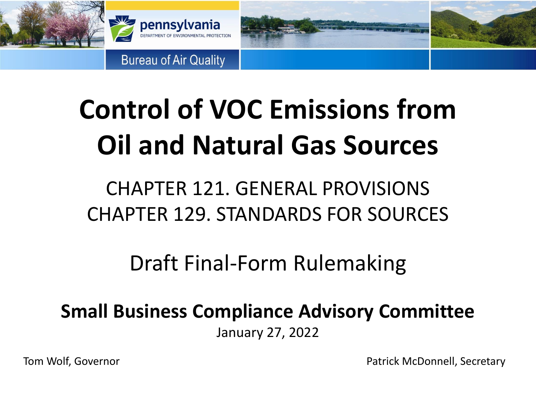

# **Control of VOC Emissions from Oil and Natural Gas Sources**

### CHAPTER 121. GENERAL PROVISIONS CHAPTER 129. STANDARDS FOR SOURCES

Draft Final-Form Rulemaking

**Small Business Compliance Advisory Committee**

January 27, 2022

Tom Wolf, Governor **Patrick McDonnell**, Secretary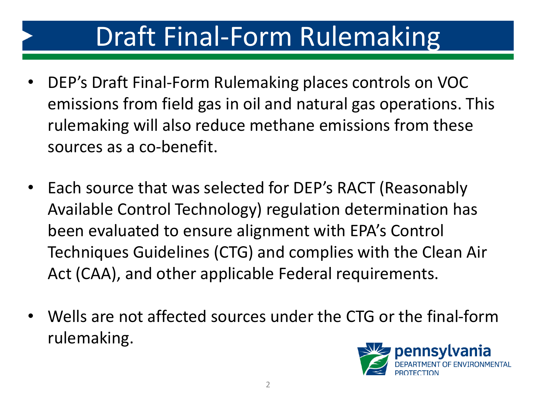- DEP's Draft Final-Form Rulemaking places controls on VOC emissions from field gas in oil and natural gas operations. This rulemaking will also reduce methane emissions from these sources as a co-benefit.
- Each source that was selected for DEP's RACT (Reasonably Available Control Technology) regulation determination has been evaluated to ensure alignment with EPA's Control Techniques Guidelines (CTG) and complies with the Clean Air Act (CAA), and other applicable Federal requirements.
- Wells are not affected sources under the CTG or the final-form rulemaking.

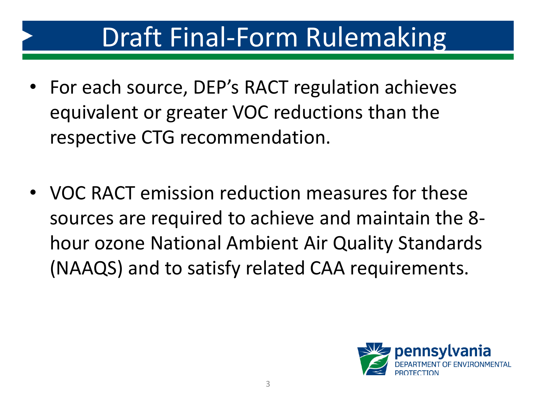- For each source, DEP's RACT regulation achieves equivalent or greater VOC reductions than the respective CTG recommendation.
- VOC RACT emission reduction measures for these sources are required to achieve and maintain the 8 hour ozone National Ambient Air Quality Standards (NAAQS) and to satisfy related CAA requirements.

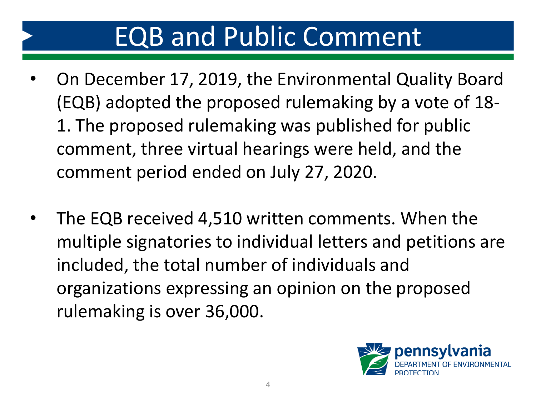### EQB and Public Comment

- On December 17, 2019, the Environmental Quality Board (EQB) adopted the proposed rulemaking by a vote of 18- 1. The proposed rulemaking was published for public comment, three virtual hearings were held, and the comment period ended on July 27, 2020.
- The EQB received 4,510 written comments. When the multiple signatories to individual letters and petitions are included, the total number of individuals and organizations expressing an opinion on the proposed rulemaking is over 36,000.

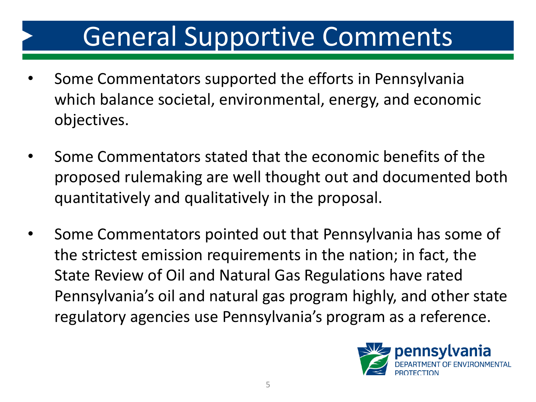### General Supportive Comments

- Some Commentators supported the efforts in Pennsylvania which balance societal, environmental, energy, and economic objectives.
- Some Commentators stated that the economic benefits of the proposed rulemaking are well thought out and documented both quantitatively and qualitatively in the proposal.
- Some Commentators pointed out that Pennsylvania has some of the strictest emission requirements in the nation; in fact, the State Review of Oil and Natural Gas Regulations have rated Pennsylvania's oil and natural gas program highly, and other state regulatory agencies use Pennsylvania's program as a reference.

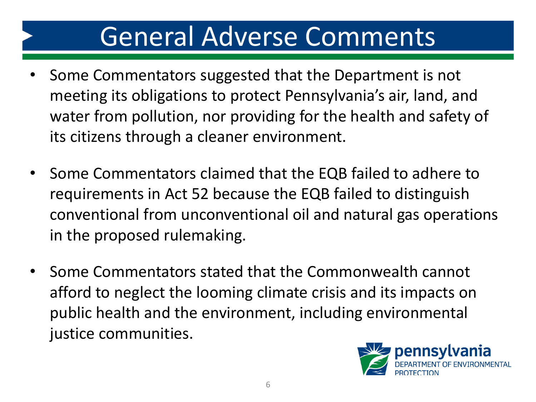### General Adverse Comments

- Some Commentators suggested that the Department is not meeting its obligations to protect Pennsylvania's air, land, and water from pollution, nor providing for the health and safety of its citizens through a cleaner environment.
- Some Commentators claimed that the EQB failed to adhere to requirements in Act 52 because the EQB failed to distinguish conventional from unconventional oil and natural gas operations in the proposed rulemaking.
- Some Commentators stated that the Commonwealth cannot afford to neglect the looming climate crisis and its impacts on public health and the environment, including environmental justice communities.

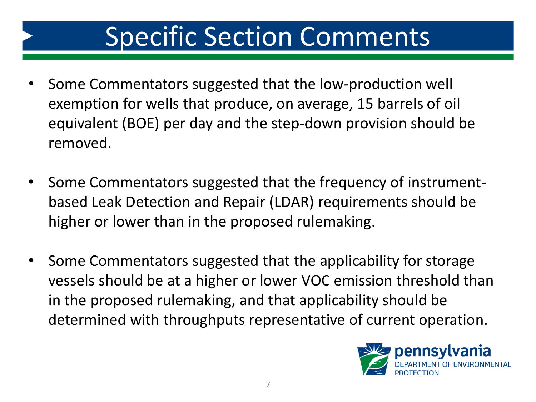### Specific Section Comments

- Some Commentators suggested that the low-production well exemption for wells that produce, on average, 15 barrels of oil equivalent (BOE) per day and the step-down provision should be removed.
- Some Commentators suggested that the frequency of instrumentbased Leak Detection and Repair (LDAR) requirements should be higher or lower than in the proposed rulemaking.
- Some Commentators suggested that the applicability for storage vessels should be at a higher or lower VOC emission threshold than in the proposed rulemaking, and that applicability should be determined with throughputs representative of current operation.

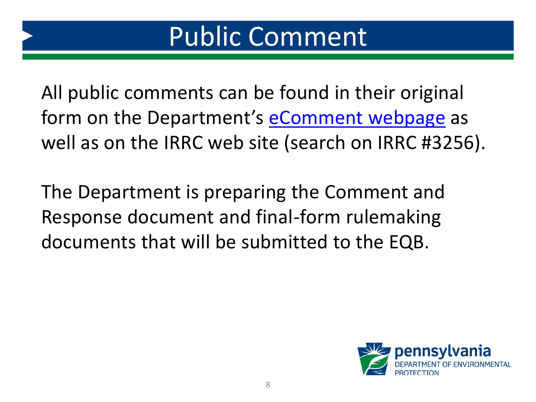All public comments can be found in their original form on the Department's [eComment](https://www.ahs.dep.pa.gov/eComment/) webpage as well as on the IRRC web site (search on IRRC #3256).

The Department is preparing the Comment and Response document and final-form rulemaking documents that will be submitted to the EQB.

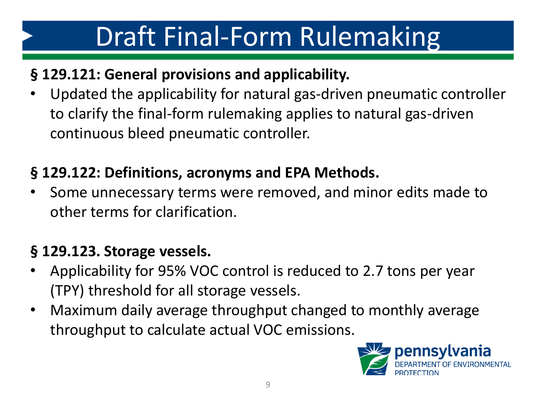#### **§ 129.121: General provisions and applicability.**

• Updated the applicability for natural gas-driven pneumatic controller to clarify the final-form rulemaking applies to natural gas-driven continuous bleed pneumatic controller.

#### **§ 129.122: Definitions, acronyms and EPA Methods.**

• Some unnecessary terms were removed, and minor edits made to other terms for clarification.

#### **§ 129.123. Storage vessels.**

- Applicability for 95% VOC control is reduced to 2.7 tons per year (TPY) threshold for all storage vessels.
- Maximum daily average throughput changed to monthly average throughput to calculate actual VOC emissions.

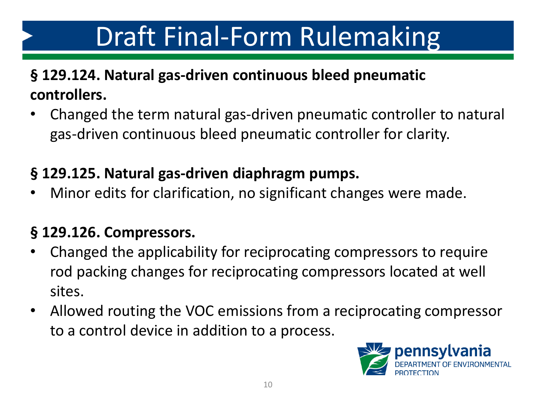#### **§ 129.124. Natural gas-driven continuous bleed pneumatic controllers.**

• Changed the term natural gas-driven pneumatic controller to natural gas-driven continuous bleed pneumatic controller for clarity.

#### **§ 129.125. Natural gas-driven diaphragm pumps.**

• Minor edits for clarification, no significant changes were made.

#### **§ 129.126. Compressors.**

- Changed the applicability for reciprocating compressors to require rod packing changes for reciprocating compressors located at well sites.
- Allowed routing the VOC emissions from a reciprocating compressor to a control device in addition to a process.

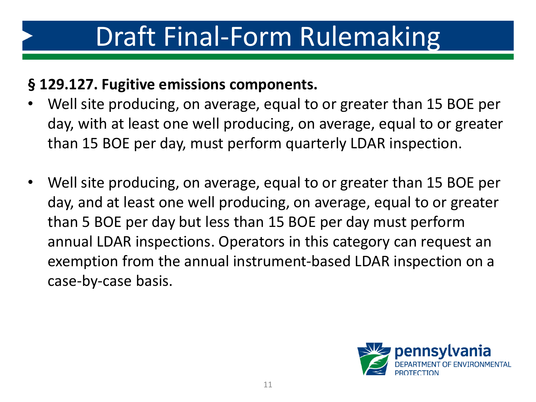#### **§ 129.127. Fugitive emissions components.**

- Well site producing, on average, equal to or greater than 15 BOE per day, with at least one well producing, on average, equal to or greater than 15 BOE per day, must perform quarterly LDAR inspection.
- Well site producing, on average, equal to or greater than 15 BOE per day, and at least one well producing, on average, equal to or greater than 5 BOE per day but less than 15 BOE per day must perform annual LDAR inspections. Operators in this category can request an exemption from the annual instrument-based LDAR inspection on a case-by-case basis.

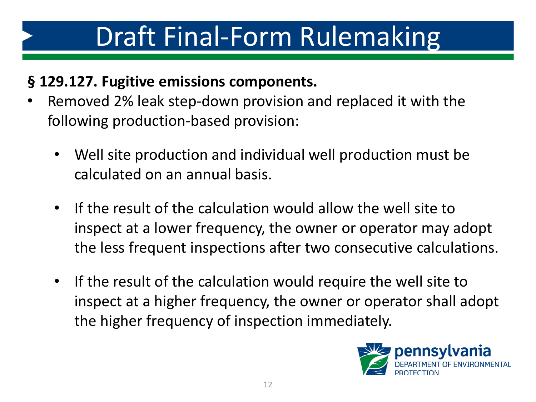#### **§ 129.127. Fugitive emissions components.**

- Removed 2% leak step-down provision and replaced it with the following production-based provision:
	- Well site production and individual well production must be calculated on an annual basis.
	- If the result of the calculation would allow the well site to inspect at a lower frequency, the owner or operator may adopt the less frequent inspections after two consecutive calculations.
	- If the result of the calculation would require the well site to inspect at a higher frequency, the owner or operator shall adopt the higher frequency of inspection immediately.

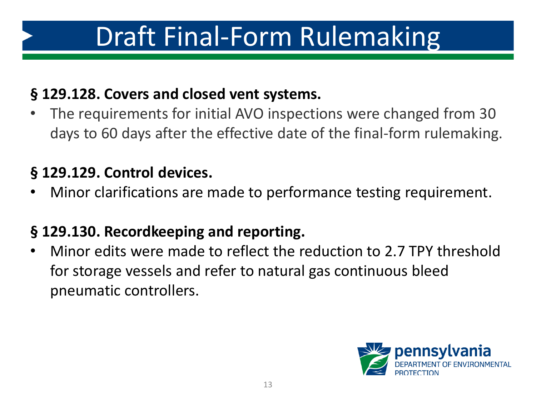#### **§ 129.128. Covers and closed vent systems.**

• The requirements for initial AVO inspections were changed from 30 days to 60 days after the effective date of the final-form rulemaking.

#### **§ 129.129. Control devices.**

• Minor clarifications are made to performance testing requirement.

#### **§ 129.130. Recordkeeping and reporting.**

• Minor edits were made to reflect the reduction to 2.7 TPY threshold for storage vessels and refer to natural gas continuous bleed pneumatic controllers.

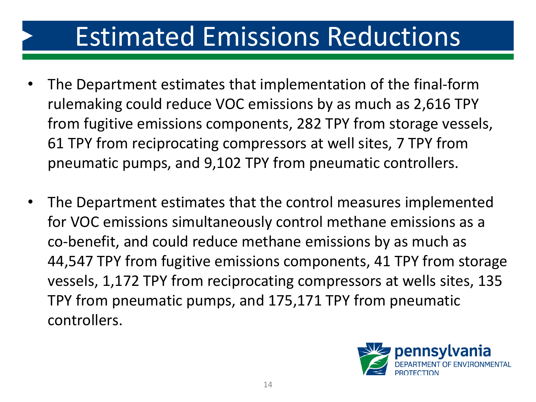### Estimated Emissions Reductions

- The Department estimates that implementation of the final-form rulemaking could reduce VOC emissions by as much as 2,616 TPY from fugitive emissions components, 282 TPY from storage vessels, 61 TPY from reciprocating compressors at well sites, 7 TPY from pneumatic pumps, and 9,102 TPY from pneumatic controllers.
- The Department estimates that the control measures implemented for VOC emissions simultaneously control methane emissions as a co-benefit, and could reduce methane emissions by as much as 44,547 TPY from fugitive emissions components, 41 TPY from storage vessels, 1,172 TPY from reciprocating compressors at wells sites, 135 TPY from pneumatic pumps, and 175,171 TPY from pneumatic controllers.

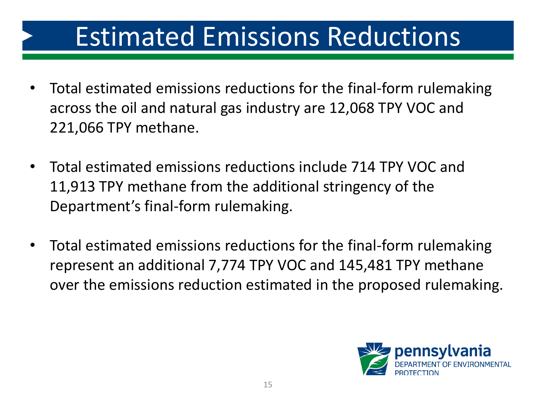### Estimated Emissions Reductions

- Total estimated emissions reductions for the final-form rulemaking across the oil and natural gas industry are 12,068 TPY VOC and 221,066 TPY methane.
- Total estimated emissions reductions include 714 TPY VOC and 11,913 TPY methane from the additional stringency of the Department's final-form rulemaking.
- Total estimated emissions reductions for the final-form rulemaking represent an additional 7,774 TPY VOC and 145,481 TPY methane over the emissions reduction estimated in the proposed rulemaking.

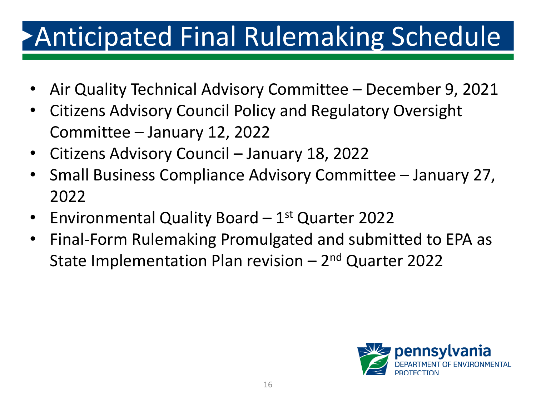# Anticipated Final Rulemaking Schedule

- Air Quality Technical Advisory Committee December 9, 2021
- Citizens Advisory Council Policy and Regulatory Oversight Committee – January 12, 2022
- Citizens Advisory Council January 18, 2022
- Small Business Compliance Advisory Committee January 27, 2022
- Environmental Quality Board 1<sup>st</sup> Quarter 2022
- Final-Form Rulemaking Promulgated and submitted to EPA as State Implementation Plan revision – 2<sup>nd</sup> Quarter 2022